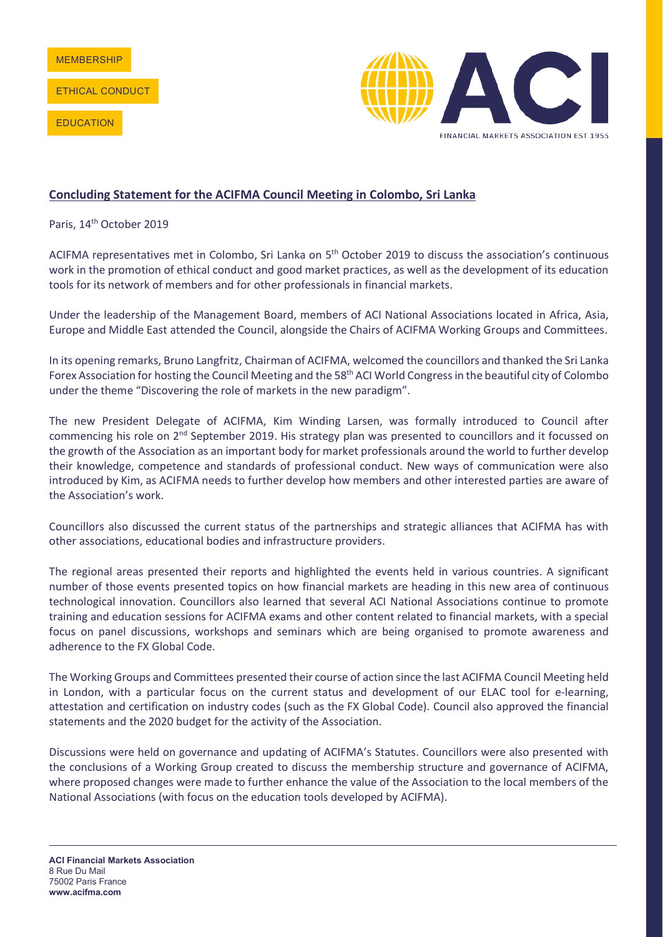ETHICAL CONDUCT

**EDUCATION** 



## **Concluding Statement for the ACIFMA Council Meeting in Colombo, Sri Lanka**

Paris, 14<sup>th</sup> October 2019

ACIFMA representatives met in Colombo, Sri Lanka on 5<sup>th</sup> October 2019 to discuss the association's continuous work in the promotion of ethical conduct and good market practices, as well as the development of its education tools for its network of members and for other professionals in financial markets.

Under the leadership of the Management Board, members of ACI National Associations located in Africa, Asia, Europe and Middle East attended the Council, alongside the Chairs of ACIFMA Working Groups and Committees.

In its opening remarks, Bruno Langfritz, Chairman of ACIFMA, welcomed the councillors and thanked the Sri Lanka Forex Association for hosting the Council Meeting and the 58<sup>th</sup> ACI World Congress in the beautiful city of Colombo under the theme "Discovering the role of markets in the new paradigm".

The new President Delegate of ACIFMA, Kim Winding Larsen, was formally introduced to Council after commencing his role on 2nd September 2019. His strategy plan was presented to councillors and it focussed on the growth of the Association as an important body for market professionals around the world to further develop their knowledge, competence and standards of professional conduct. New ways of communication were also introduced by Kim, as ACIFMA needs to further develop how members and other interested parties are aware of the Association's work.

Councillors also discussed the current status of the partnerships and strategic alliances that ACIFMA has with other associations, educational bodies and infrastructure providers.

The regional areas presented their reports and highlighted the events held in various countries. A significant number of those events presented topics on how financial markets are heading in this new area of continuous technological innovation. Councillors also learned that several ACI National Associations continue to promote training and education sessions for ACIFMA exams and other content related to financial markets, with a special focus on panel discussions, workshops and seminars which are being organised to promote awareness and adherence to the FX Global Code.

The Working Groups and Committees presented their course of action since the last ACIFMA Council Meeting held in London, with a particular focus on the current status and development of our ELAC tool for e-learning, attestation and certification on industry codes (such as the FX Global Code). Council also approved the financial statements and the 2020 budget for the activity of the Association.

Discussions were held on governance and updating of ACIFMA's Statutes. Councillors were also presented with the conclusions of a Working Group created to discuss the membership structure and governance of ACIFMA, where proposed changes were made to further enhance the value of the Association to the local members of the National Associations (with focus on the education tools developed by ACIFMA).